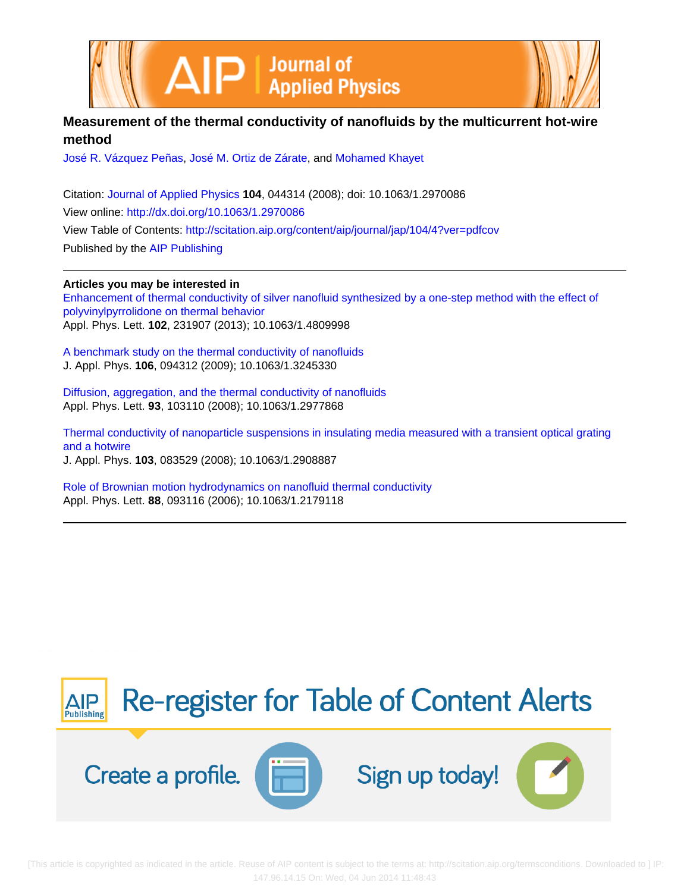



## **Measurement of the thermal conductivity of nanofluids by the multicurrent hot-wire method**

[José R. Vázquez Peñas,](http://scitation.aip.org/search?value1=Jos�+R.+V�zquez+Pe�as&option1=author) [José M. Ortiz de Zárate,](http://scitation.aip.org/search?value1=Jos�+M.+Ortiz+de+Z�rate&option1=author) and [Mohamed Khayet](http://scitation.aip.org/search?value1=Mohamed+Khayet&option1=author)

Citation: [Journal of Applied Physics](http://scitation.aip.org/content/aip/journal/jap?ver=pdfcov) **104**, 044314 (2008); doi: 10.1063/1.2970086 View online: <http://dx.doi.org/10.1063/1.2970086> View Table of Contents: <http://scitation.aip.org/content/aip/journal/jap/104/4?ver=pdfcov> Published by the [AIP Publishing](http://scitation.aip.org/content/aip?ver=pdfcov)

### **Articles you may be interested in**

[Enhancement of thermal conductivity of silver nanofluid synthesized by a one-step method with the effect of](http://scitation.aip.org/content/aip/journal/apl/102/23/10.1063/1.4809998?ver=pdfcov) [polyvinylpyrrolidone on thermal behavior](http://scitation.aip.org/content/aip/journal/apl/102/23/10.1063/1.4809998?ver=pdfcov) Appl. Phys. Lett. **102**, 231907 (2013); 10.1063/1.4809998

[A benchmark study on the thermal conductivity of nanofluids](http://scitation.aip.org/content/aip/journal/jap/106/9/10.1063/1.3245330?ver=pdfcov) J. Appl. Phys. **106**, 094312 (2009); 10.1063/1.3245330

[Diffusion, aggregation, and the thermal conductivity of nanofluids](http://scitation.aip.org/content/aip/journal/apl/93/10/10.1063/1.2977868?ver=pdfcov) Appl. Phys. Lett. **93**, 103110 (2008); 10.1063/1.2977868

[Thermal conductivity of nanoparticle suspensions in insulating media measured with a transient optical grating](http://scitation.aip.org/content/aip/journal/jap/103/8/10.1063/1.2908887?ver=pdfcov) [and a hotwire](http://scitation.aip.org/content/aip/journal/jap/103/8/10.1063/1.2908887?ver=pdfcov) J. Appl. Phys. **103**, 083529 (2008); 10.1063/1.2908887

[Role of Brownian motion hydrodynamics on nanofluid thermal conductivity](http://scitation.aip.org/content/aip/journal/apl/88/9/10.1063/1.2179118?ver=pdfcov) Appl. Phys. Lett. **88**, 093116 (2006); 10.1063/1.2179118

### Re-register for Table of Content Alerts **AIP Publishing**

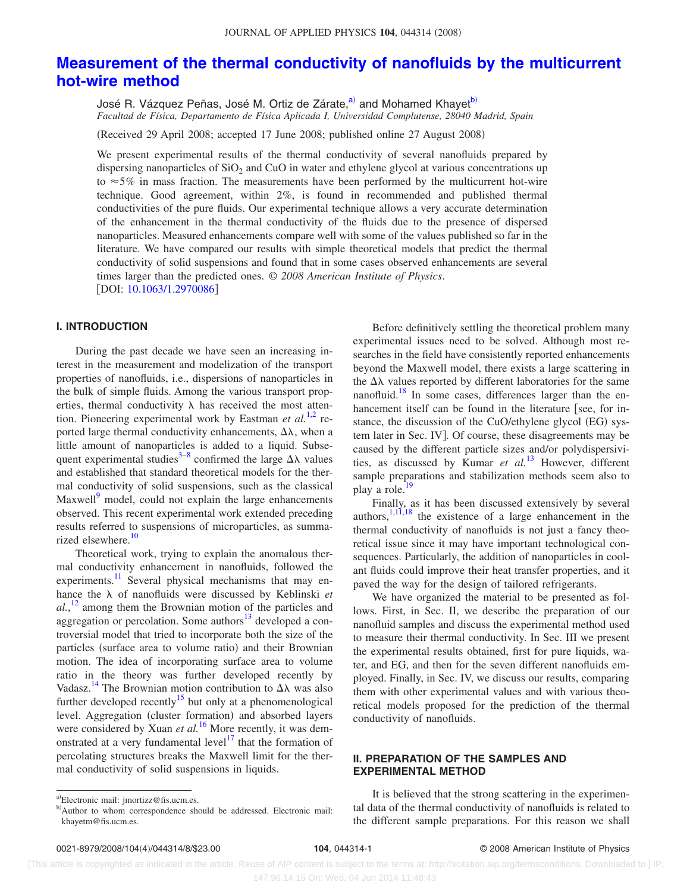# **[Measurement of the thermal conductivity of nanofluids by the multicurrent](http://dx.doi.org/10.1063/1.2970086) [hot-wire method](http://dx.doi.org/10.1063/1.2970086)**

José R. Vázquez Peñas, José M. Ortiz de Zárate,<sup>a)</sup> and Mohamed Khayet<sup>b)</sup>

*Facultad de Física, Departamento de Física Aplicada I, Universidad Complutense, 28040 Madrid, Spain*

Received 29 April 2008; accepted 17 June 2008; published online 27 August 2008-

We present experimental results of the thermal conductivity of several nanofluids prepared by dispersing nanoparticles of  $SiO<sub>2</sub>$  and CuO in water and ethylene glycol at various concentrations up to  $\approx$  5% in mass fraction. The measurements have been performed by the multicurrent hot-wire technique. Good agreement, within 2%, is found in recommended and published thermal conductivities of the pure fluids. Our experimental technique allows a very accurate determination of the enhancement in the thermal conductivity of the fluids due to the presence of dispersed nanoparticles. Measured enhancements compare well with some of the values published so far in the literature. We have compared our results with simple theoretical models that predict the thermal conductivity of solid suspensions and found that in some cases observed enhancements are several times larger than the predicted ones. © *2008 American Institute of Physics*. [DOI: [10.1063/1.2970086](http://dx.doi.org/10.1063/1.2970086)]

#### **I. INTRODUCTION**

During the past decade we have seen an increasing interest in the measurement and modelization of the transport properties of nanofluids, i.e., dispersions of nanoparticles in the bulk of simple fluids. Among the various transport properties, thermal conductivity  $\lambda$  has received the most attention. Pioneering experimental work by Eastman *et al.*<sup>[1](#page-7-0)[,2](#page-7-1)</sup> reported large thermal conductivity enhancements,  $\Delta\lambda$ , when a little amount of nanoparticles is added to a liquid. Subse-quent experimental studies<sup>3-[8](#page-8-0)</sup> confirmed the large  $\Delta\lambda$  values and established that standard theoretical models for the thermal conductivity of solid suspensions, such as the classical Maxwell<sup>9</sup> model, could not explain the large enhancements observed. This recent experimental work extended preceding results referred to suspensions of microparticles, as summarized elsewhere.<sup>10</sup>

Theoretical work, trying to explain the anomalous thermal conductivity enhancement in nanofluids, followed the experiments.<sup>11</sup> Several physical mechanisms that may enhance the  $\lambda$  of nanofluids were discussed by Keblinski  $et$ *al.*, [12](#page-8-4) among them the Brownian motion of the particles and aggregation or percolation. Some authors $13$  developed a controversial model that tried to incorporate both the size of the particles (surface area to volume ratio) and their Brownian motion. The idea of incorporating surface area to volume ratio in the theory was further developed recently by Vadasz.<sup>14</sup> The Brownian motion contribution to  $\Delta\lambda$  was also further developed recently<sup>15</sup> but only at a phenomenological level. Aggregation (cluster formation) and absorbed layers were considered by Xuan *et al.*<sup>[16](#page-8-8)</sup> More recently, it was demonstrated at a very fundamental level<sup>17</sup> that the formation of percolating structures breaks the Maxwell limit for the thermal conductivity of solid suspensions in liquids.

Before definitively settling the theoretical problem many experimental issues need to be solved. Although most researches in the field have consistently reported enhancements beyond the Maxwell model, there exists a large scattering in the  $\Delta\lambda$  values reported by different laboratories for the same nanofluid.<sup>18</sup> In some cases, differences larger than the enhancement itself can be found in the literature [see, for instance, the discussion of the CuO/ethylene glycol (EG) system later in Sec. IV]. Of course, these disagreements may be caused by the different particle sizes and/or polydispersivities, as discussed by Kumar *et al.*[13](#page-8-5) However, different sample preparations and stabilization methods seem also to play a role.<sup>19</sup>

Finally, as it has been discussed extensively by several authors, $1,11,18$  $1,11,18$  $1,11,18$  the existence of a large enhancement in the thermal conductivity of nanofluids is not just a fancy theoretical issue since it may have important technological consequences. Particularly, the addition of nanoparticles in coolant fluids could improve their heat transfer properties, and it paved the way for the design of tailored refrigerants.

We have organized the material to be presented as follows. First, in Sec. II, we describe the preparation of our nanofluid samples and discuss the experimental method used to measure their thermal conductivity. In Sec. III we present the experimental results obtained, first for pure liquids, water, and EG, and then for the seven different nanofluids employed. Finally, in Sec. IV, we discuss our results, comparing them with other experimental values and with various theoretical models proposed for the prediction of the thermal conductivity of nanofluids.

#### **II. PREPARATION OF THE SAMPLES AND EXPERIMENTAL METHOD**

It is believed that the strong scattering in the experimental data of the thermal conductivity of nanofluids is related to the different sample preparations. For this reason we shall

<span id="page-1-0"></span>a)Electronic mail: jmortizz@fis.ucm.es.

<span id="page-1-1"></span>b)Author to whom correspondence should be addressed. Electronic mail: khayetm@fis.ucm.es.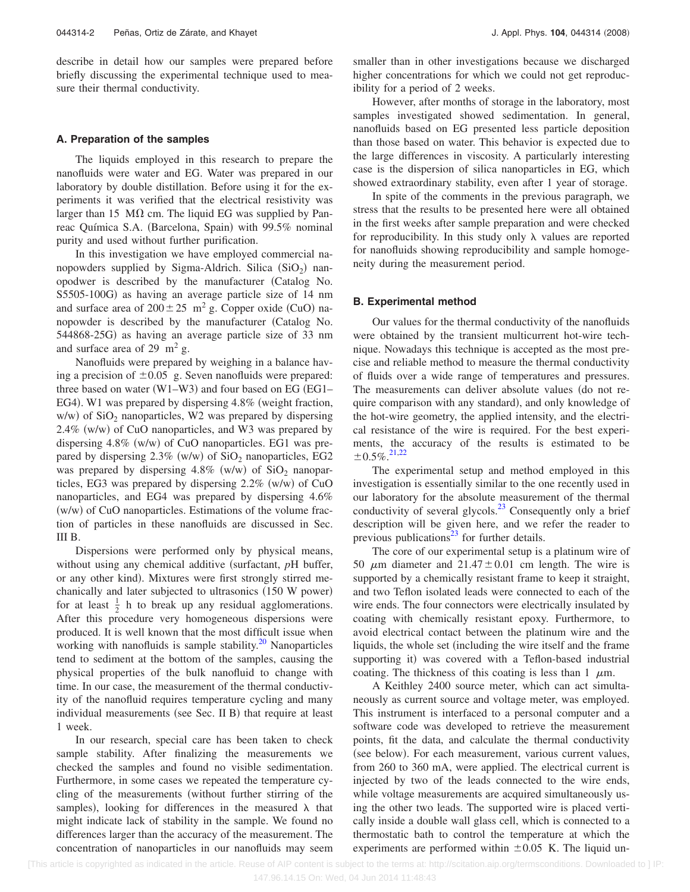describe in detail how our samples were prepared before briefly discussing the experimental technique used to measure their thermal conductivity.

#### **A. Preparation of the samples**

The liquids employed in this research to prepare the nanofluids were water and EG. Water was prepared in our laboratory by double distillation. Before using it for the experiments it was verified that the electrical resistivity was larger than 15  $M\Omega$  cm. The liquid EG was supplied by Panreac Química S.A. (Barcelona, Spain) with 99.5% nominal purity and used without further purification.

In this investigation we have employed commercial nanopowders supplied by Sigma-Aldrich. Silica  $(SiO<sub>2</sub>)$  nanopodwer is described by the manufacturer Catalog No. S5505-100G) as having an average particle size of 14 nm and surface area of  $200 \pm 25$  m<sup>2</sup> g. Copper oxide (CuO) nanopowder is described by the manufacturer Catalog No. 544868-25G) as having an average particle size of 33 nm and surface area of 29  $\mathrm{m}^2$  g.

Nanofluids were prepared by weighing in a balance having a precision of  $\pm 0.05$  g. Seven nanofluids were prepared: three based on water (W1-W3) and four based on EG (EG1-EG4). W1 was prepared by dispersing 4.8% (weight fraction,  $w/w$ ) of SiO<sub>2</sub> nanoparticles, W2 was prepared by dispersing 2.4% (w/w) of CuO nanoparticles, and W3 was prepared by dispersing 4.8% (w/w) of CuO nanoparticles. EG1 was prepared by dispersing  $2.3\%$  (w/w) of  $SiO<sub>2</sub>$  nanoparticles, EG2 was prepared by dispersing  $4.8\%$  (w/w) of  $SiO<sub>2</sub>$  nanoparticles, EG3 was prepared by dispersing  $2.2\%$  (w/w) of CuO nanoparticles, and EG4 was prepared by dispersing 4.6% (w/w) of CuO nanoparticles. Estimations of the volume fraction of particles in these nanofluids are discussed in Sec. III B.

Dispersions were performed only by physical means, without using any chemical additive (surfactant, *pH* buffer, or any other kind). Mixtures were first strongly stirred mechanically and later subjected to ultrasonics (150 W power) for at least  $\frac{1}{2}$  h to break up any residual agglomerations. After this procedure very homogeneous dispersions were produced. It is well known that the most difficult issue when working with nanofluids is sample stability. $^{20}$  Nanoparticles tend to sediment at the bottom of the samples, causing the physical properties of the bulk nanofluid to change with time. In our case, the measurement of the thermal conductivity of the nanofluid requires temperature cycling and many individual measurements (see Sec. II B) that require at least 1 week.

In our research, special care has been taken to check sample stability. After finalizing the measurements we checked the samples and found no visible sedimentation. Furthermore, in some cases we repeated the temperature cycling of the measurements (without further stirring of the samples), looking for differences in the measured  $\lambda$  that might indicate lack of stability in the sample. We found no differences larger than the accuracy of the measurement. The concentration of nanoparticles in our nanofluids may seem smaller than in other investigations because we discharged higher concentrations for which we could not get reproducibility for a period of 2 weeks.

However, after months of storage in the laboratory, most samples investigated showed sedimentation. In general, nanofluids based on EG presented less particle deposition than those based on water. This behavior is expected due to the large differences in viscosity. A particularly interesting case is the dispersion of silica nanoparticles in EG, which showed extraordinary stability, even after 1 year of storage.

In spite of the comments in the previous paragraph, we stress that the results to be presented here were all obtained in the first weeks after sample preparation and were checked for reproducibility. In this study only  $\lambda$  values are reported for nanofluids showing reproducibility and sample homogeneity during the measurement period.

#### **B. Experimental method**

Our values for the thermal conductivity of the nanofluids were obtained by the transient multicurrent hot-wire technique. Nowadays this technique is accepted as the most precise and reliable method to measure the thermal conductivity of fluids over a wide range of temperatures and pressures. The measurements can deliver absolute values (do not require comparison with any standard), and only knowledge of the hot-wire geometry, the applied intensity, and the electrical resistance of the wire is required. For the best experiments, the accuracy of the results is estimated to be  $\pm 0.5\%$ <sup>[21](#page-8-13)[,22](#page-8-14)</sup>

The experimental setup and method employed in this investigation is essentially similar to the one recently used in our laboratory for the absolute measurement of the thermal conductivity of several glycols.<sup>23</sup> Consequently only a brief description will be given here, and we refer the reader to previous publications<sup>23</sup> for further details.

The core of our experimental setup is a platinum wire of 50  $\mu$ m diameter and 21.47  $\pm$  0.01 cm length. The wire is supported by a chemically resistant frame to keep it straight, and two Teflon isolated leads were connected to each of the wire ends. The four connectors were electrically insulated by coating with chemically resistant epoxy. Furthermore, to avoid electrical contact between the platinum wire and the liquids, the whole set (including the wire itself and the frame supporting it) was covered with a Teflon-based industrial coating. The thickness of this coating is less than  $1 \mu m$ .

A Keithley 2400 source meter, which can act simultaneously as current source and voltage meter, was employed. This instrument is interfaced to a personal computer and a software code was developed to retrieve the measurement points, fit the data, and calculate the thermal conductivity (see below). For each measurement, various current values, from 260 to 360 mA, were applied. The electrical current is injected by two of the leads connected to the wire ends, while voltage measurements are acquired simultaneously using the other two leads. The supported wire is placed vertically inside a double wall glass cell, which is connected to a thermostatic bath to control the temperature at which the experiments are performed within  $\pm 0.05$  K. The liquid un-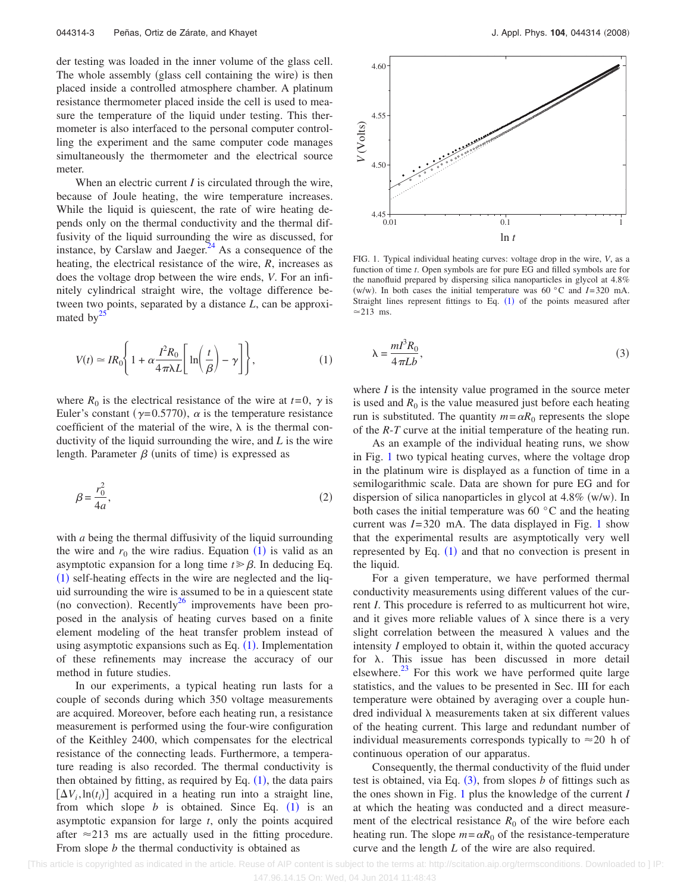der testing was loaded in the inner volume of the glass cell. The whole assembly (glass cell containing the wire) is then placed inside a controlled atmosphere chamber. A platinum resistance thermometer placed inside the cell is used to measure the temperature of the liquid under testing. This thermometer is also interfaced to the personal computer controlling the experiment and the same computer code manages simultaneously the thermometer and the electrical source meter.

When an electric current *I* is circulated through the wire, because of Joule heating, the wire temperature increases. While the liquid is quiescent, the rate of wire heating depends only on the thermal conductivity and the thermal diffusivity of the liquid surrounding the wire as discussed, for instance, by Carslaw and Jaeger. $24$  As a consequence of the heating, the electrical resistance of the wire, *R*, increases as does the voltage drop between the wire ends, *V*. For an infinitely cylindrical straight wire, the voltage difference between two points, separated by a distance *L*, can be approximated by $^{25}$ 

<span id="page-3-0"></span>
$$
V(t) \simeq IR_0 \Bigg\{ 1 + \alpha \frac{I^2 R_0}{4 \pi \lambda L} \Bigg[ \ln \bigg( \frac{t}{\beta} \bigg) - \gamma \Bigg] \Bigg\},\tag{1}
$$

where  $R_0$  is the electrical resistance of the wire at  $t=0$ ,  $\gamma$  is Euler's constant ( $\gamma$ =0.5770),  $\alpha$  is the temperature resistance coefficient of the material of the wire,  $\lambda$  is the thermal conductivity of the liquid surrounding the wire, and *L* is the wire length. Parameter  $\beta$  (units of time) is expressed as

$$
\beta = \frac{r_0^2}{4a},\tag{2}
$$

with *a* being the thermal diffusivity of the liquid surrounding the wire and  $r_0$  the wire radius. Equation  $(1)$  $(1)$  $(1)$  is valid as an asymptotic expansion for a long time  $t \ge \beta$ . In deducing Eq.  $(1)$  $(1)$  $(1)$  self-heating effects in the wire are neglected and the liquid surrounding the wire is assumed to be in a quiescent state (no convection). Recently<sup>26</sup> improvements have been proposed in the analysis of heating curves based on a finite element modeling of the heat transfer problem instead of using asymptotic expansions such as Eq.  $(1)$  $(1)$  $(1)$ . Implementation of these refinements may increase the accuracy of our method in future studies.

In our experiments, a typical heating run lasts for a couple of seconds during which 350 voltage measurements are acquired. Moreover, before each heating run, a resistance measurement is performed using the four-wire configuration of the Keithley 2400, which compensates for the electrical resistance of the connecting leads. Furthermore, a temperature reading is also recorded. The thermal conductivity is then obtained by fitting, as required by Eq.  $(1)$  $(1)$  $(1)$ , the data pairs  $[\Delta V_i, \ln(t_i)]$  acquired in a heating run into a straight line, from which slope  $b$  is obtained. Since Eq.  $(1)$  $(1)$  $(1)$  is an asymptotic expansion for large *t*, only the points acquired after  $\approx$  213 ms are actually used in the fitting procedure. From slope *b* the thermal conductivity is obtained as

<span id="page-3-1"></span>

FIG. 1. Typical individual heating curves: voltage drop in the wire, *V*, as a function of time *t*. Open symbols are for pure EG and filled symbols are for the nanofluid prepared by dispersing silica nanoparticles in glycol at 4.8% (w/w). In both cases the initial temperature was  $60^{\circ}$ C and  $I=320$  mA. Straight lines represent fittings to Eq.  $(1)$  $(1)$  $(1)$  of the points measured after  $\simeq$  213 ms.

<span id="page-3-2"></span>
$$
\lambda = \frac{mI^3 R_0}{4\pi L b},\tag{3}
$$

where *I* is the intensity value programed in the source meter is used and  $R_0$  is the value measured just before each heating run is substituted. The quantity  $m = \alpha R_0$  represents the slope of the *R*-*T* curve at the initial temperature of the heating run.

As an example of the individual heating runs, we show in Fig. [1](#page-3-1) two typical heating curves, where the voltage drop in the platinum wire is displayed as a function of time in a semilogarithmic scale. Data are shown for pure EG and for dispersion of silica nanoparticles in glycol at 4.8% (w/w). In both cases the initial temperature was 60 °C and the heating current was  $I = 320$  mA. The data displayed in Fig. [1](#page-3-1) show that the experimental results are asymptotically very well represented by Eq.  $(1)$  $(1)$  $(1)$  and that no convection is present in the liquid.

For a given temperature, we have performed thermal conductivity measurements using different values of the current *I*. This procedure is referred to as multicurrent hot wire, and it gives more reliable values of  $\lambda$  since there is a very slight correlation between the measured  $\lambda$  values and the intensity *I* employed to obtain it, within the quoted accuracy for  $\lambda$ . This issue has been discussed in more detail elsewhere. $^{23}$  For this work we have performed quite large statistics, and the values to be presented in Sec. III for each temperature were obtained by averaging over a couple hundred individual  $\lambda$  measurements taken at six different values of the heating current. This large and redundant number of individual measurements corresponds typically to  $\approx 20$  h of continuous operation of our apparatus.

Consequently, the thermal conductivity of the fluid under test is obtained, via Eq.  $(3)$  $(3)$  $(3)$ , from slopes *b* of fittings such as the ones shown in Fig. [1](#page-3-1) plus the knowledge of the current *I* at which the heating was conducted and a direct measurement of the electrical resistance  $R_0$  of the wire before each heating run. The slope  $m = \alpha R_0$  of the resistance-temperature curve and the length *L* of the wire are also required.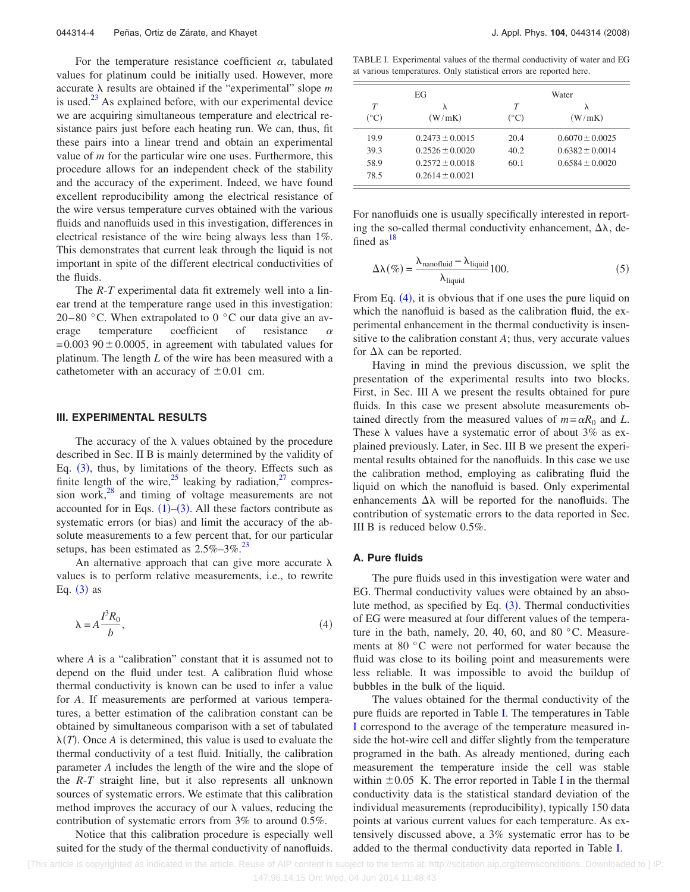For the temperature resistance coefficient  $\alpha$ , tabulated values for platinum could be initially used. However, more accurate  $\lambda$  results are obtained if the "experimental" slope  $m$ is used. $^{23}$  As explained before, with our experimental device we are acquiring simultaneous temperature and electrical resistance pairs just before each heating run. We can, thus, fit these pairs into a linear trend and obtain an experimental value of *m* for the particular wire one uses. Furthermore, this procedure allows for an independent check of the stability and the accuracy of the experiment. Indeed, we have found excellent reproducibility among the electrical resistance of the wire versus temperature curves obtained with the various fluids and nanofluids used in this investigation, differences in electrical resistance of the wire being always less than 1%. This demonstrates that current leak through the liquid is not important in spite of the different electrical conductivities of the fluids.

The *R*-*T* experimental data fit extremely well into a linear trend at the temperature range used in this investigation: 20–80 °C. When extrapolated to 0 °C our data give an average temperature coefficient of resistance  $\alpha$  $= 0.003$  90  $\pm$  0.0005, in agreement with tabulated values for platinum. The length *L* of the wire has been measured with a cathetometer with an accuracy of  $\pm 0.01$  cm.

#### **III. EXPERIMENTAL RESULTS**

The accuracy of the  $\lambda$  values obtained by the procedure described in Sec. II B is mainly determined by the validity of Eq. ([3](#page-3-2)), thus, by limitations of the theory. Effects such as finite length of the wire,  $^{25}$  leaking by radiation,  $^{27}$  compression work, $28$  and timing of voltage measurements are not accounted for in Eqs.  $(1)$  $(1)$  $(1)$ – $(3)$  $(3)$  $(3)$ . All these factors contribute as systematic errors (or bias) and limit the accuracy of the absolute measurements to a few percent that, for our particular setups, has been estimated as  $2.5\% - 3\%$ .

An alternative approach that can give more accurate  $\lambda$ values is to perform relative measurements, i.e., to rewrite Eq.  $(3)$  $(3)$  $(3)$  as

<span id="page-4-0"></span>
$$
\lambda = A \frac{I^3 R_0}{b},\tag{4}
$$

where *A* is a "calibration" constant that it is assumed not to depend on the fluid under test. A calibration fluid whose thermal conductivity is known can be used to infer a value for *A*. If measurements are performed at various temperatures, a better estimation of the calibration constant can be obtained by simultaneous comparison with a set of tabulated  $\lambda(T)$ . Once *A* is determined, this value is used to evaluate the thermal conductivity of a test fluid. Initially, the calibration parameter *A* includes the length of the wire and the slope of the *R*-*T* straight line, but it also represents all unknown sources of systematic errors. We estimate that this calibration method improves the accuracy of our  $\lambda$  values, reducing the contribution of systematic errors from 3% to around 0.5%.

Notice that this calibration procedure is especially well suited for the study of the thermal conductivity of nanofluids.

<span id="page-4-1"></span>TABLE I. Experimental values of the thermal conductivity of water and EG at various temperatures. Only statistical errors are reported here.

|                   | EG                  | Water     |                     |  |
|-------------------|---------------------|-----------|---------------------|--|
| T<br>$(^\circ C)$ | λ<br>(W/mK)         | T<br>(°C) | λ<br>(W/mK)         |  |
| 19.9              | $0.2473 \pm 0.0015$ | 20.4      | $0.6070 \pm 0.0025$ |  |
| 39.3              | $0.2526 \pm 0.0020$ | 40.2      | $0.6382 \pm 0.0014$ |  |
| 58.9              | $0.2572 \pm 0.0018$ | 60.1      | $0.6584 \pm 0.0020$ |  |
| 78.5              | $0.2614 \pm 0.0021$ |           |                     |  |

For nanofluids one is usually specifically interested in reporting the so-called thermal conductivity enhancement,  $\Delta \lambda$ , defined as  $18$ 

$$
\Delta\lambda(\%) = \frac{\lambda_{\text{nanofluid}} - \lambda_{\text{liquid}}}{\lambda_{\text{liquid}}} 100. \tag{5}
$$

From Eq. ([4](#page-4-0)), it is obvious that if one uses the pure liquid on which the nanofluid is based as the calibration fluid, the experimental enhancement in the thermal conductivity is insensitive to the calibration constant *A*; thus, very accurate values for  $\Delta\lambda$  can be reported.

Having in mind the previous discussion, we split the presentation of the experimental results into two blocks. First, in Sec. III A we present the results obtained for pure fluids. In this case we present absolute measurements obtained directly from the measured values of  $m = \alpha R_0$  and *L*. These  $\lambda$  values have a systematic error of about 3% as explained previously. Later, in Sec. III B we present the experimental results obtained for the nanofluids. In this case we use the calibration method, employing as calibrating fluid the liquid on which the nanofluid is based. Only experimental enhancements  $\Delta\lambda$  will be reported for the nanofluids. The contribution of systematic errors to the data reported in Sec. III B is reduced below 0.5%.

#### **A. Pure fluids**

The pure fluids used in this investigation were water and EG. Thermal conductivity values were obtained by an absolute method, as specified by Eq.  $(3)$  $(3)$  $(3)$ . Thermal conductivities of EG were measured at four different values of the temperature in the bath, namely, 20, 40, 60, and 80 °C. Measurements at 80 °C were not performed for water because the fluid was close to its boiling point and measurements were less reliable. It was impossible to avoid the buildup of bubbles in the bulk of the liquid.

The values obtained for the thermal conductivity of the pure fluids are reported in Table [I.](#page-4-1) The temperatures in Table [I](#page-4-1) correspond to the average of the temperature measured inside the hot-wire cell and differ slightly from the temperature programed in the bath. As already mentioned, during each measurement the temperature inside the cell was stable within  $\pm 0.05$  K. The error reported in Table [I](#page-4-1) in the thermal conductivity data is the statistical standard deviation of the individual measurements (reproducibility), typically 150 data points at various current values for each temperature. As extensively discussed above, a 3% systematic error has to be added to the thermal conductivity data reported in Table [I.](#page-4-1)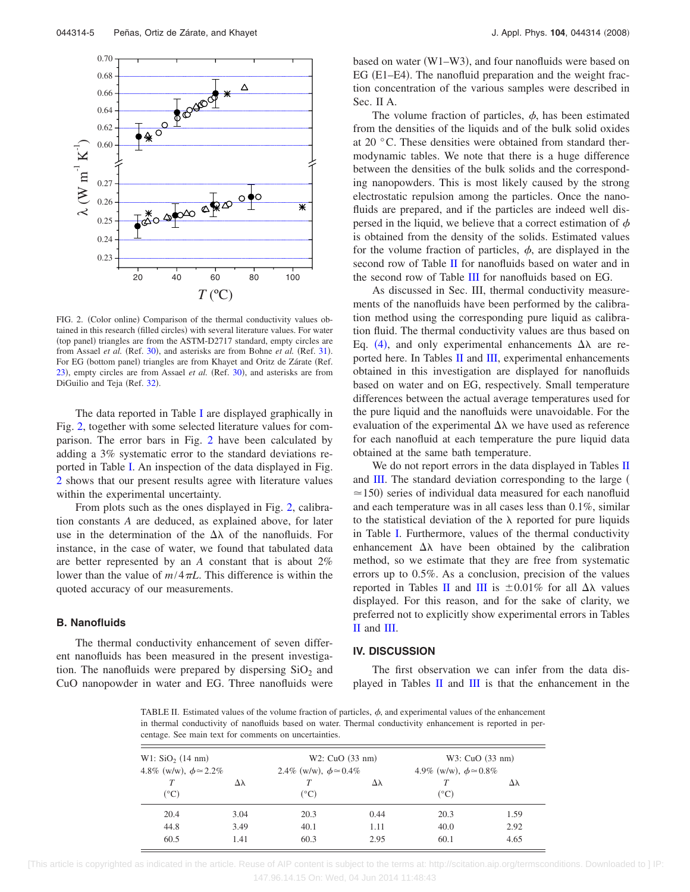<span id="page-5-0"></span>

FIG. 2. (Color online) Comparison of the thermal conductivity values obtained in this research (filled circles) with several literature values. For water (top panel) triangles are from the ASTM-D2717 standard, empty circles are from Assael *et al.* (Ref. [30](#page-8-21)), and asterisks are from Bohne *et al.* (Ref. [31](#page-8-22)). For EG (bottom panel) triangles are from Khayet and Oritz de Zárate (Ref. [23](#page-8-15)), empty circles are from Assael et al. (Ref. [30](#page-8-21)), and asterisks are from DiGuilio and Teja (Ref. [32](#page-8-23)).

The data reported in Table [I](#page-4-1) are displayed graphically in Fig. [2,](#page-5-0) together with some selected literature values for comparison. The error bars in Fig. [2](#page-5-0) have been calculated by adding a 3% systematic error to the standard deviations reported in Table [I.](#page-4-1) An inspection of the data displayed in Fig. [2](#page-5-0) shows that our present results agree with literature values within the experimental uncertainty.

From plots such as the ones displayed in Fig. [2,](#page-5-0) calibration constants *A* are deduced, as explained above, for later use in the determination of the  $\Delta\lambda$  of the nanofluids. For instance, in the case of water, we found that tabulated data are better represented by an *A* constant that is about 2% lower than the value of  $m/4\pi L$ . This difference is within the quoted accuracy of our measurements.

#### **B. Nanofluids**

<span id="page-5-1"></span>The thermal conductivity enhancement of seven different nanofluids has been measured in the present investigation. The nanofluids were prepared by dispersing  $SiO<sub>2</sub>$  and CuO nanopowder in water and EG. Three nanofluids were

based on water (W1-W3), and four nanofluids were based on EG (E1-E4). The nanofluid preparation and the weight fraction concentration of the various samples were described in Sec. II A.

The volume fraction of particles,  $\phi$ , has been estimated from the densities of the liquids and of the bulk solid oxides at 20 °C. These densities were obtained from standard thermodynamic tables. We note that there is a huge difference between the densities of the bulk solids and the corresponding nanopowders. This is most likely caused by the strong electrostatic repulsion among the particles. Once the nanofluids are prepared, and if the particles are indeed well dispersed in the liquid, we believe that a correct estimation of  $\phi$ is obtained from the density of the solids. Estimated values for the volume fraction of particles,  $\phi$ , are displayed in the second row of Table [II](#page-5-1) for nanofluids based on water and in the second row of Table [III](#page-6-0) for nanofluids based on EG.

As discussed in Sec. III, thermal conductivity measurements of the nanofluids have been performed by the calibration method using the corresponding pure liquid as calibration fluid. The thermal conductivity values are thus based on Eq. ([4](#page-4-0)), and only experimental enhancements  $\Delta\lambda$  are reported here. In Tables [II](#page-5-1) and [III,](#page-6-0) experimental enhancements obtained in this investigation are displayed for nanofluids based on water and on EG, respectively. Small temperature differences between the actual average temperatures used for the pure liquid and the nanofluids were unavoidable. For the evaluation of the experimental  $\Delta\lambda$  we have used as reference for each nanofluid at each temperature the pure liquid data obtained at the same bath temperature.

We do not report errors in the data displayed in Tables [II](#page-5-1) and [III.](#page-6-0) The standard deviation corresponding to the large (  $\approx$  150) series of individual data measured for each nanofluid and each temperature was in all cases less than 0.1%, similar to the statistical deviation of the  $\lambda$  reported for pure liquids in Table [I.](#page-4-1) Furthermore, values of the thermal conductivity enhancement  $\Delta \lambda$  have been obtained by the calibration method, so we estimate that they are free from systematic errors up to 0.5%. As a conclusion, precision of the values reported in Tables [II](#page-5-1) and [III](#page-6-0) is  $\pm 0.01\%$  for all  $\Delta\lambda$  values displayed. For this reason, and for the sake of clarity, we preferred not to explicitly show experimental errors in Tables [II](#page-5-1) and [III.](#page-6-0)

#### **IV. DISCUSSION**

The first observation we can infer from the data displayed in Tables  $\overline{II}$  $\overline{II}$  $\overline{II}$  and  $\overline{III}$  $\overline{III}$  $\overline{III}$  is that the enhancement in the

TABLE II. Estimated values of the volume fraction of particles,  $\phi$ , and experimental values of the enhancement in thermal conductivity of nanofluids based on water. Thermal conductivity enhancement is reported in percentage. See main text for comments on uncertainties.

| W1: $SiO2$ (14 nm)<br>4.8% (w/w), $\phi \approx 2.2\%$ |      | W2: CuO (33 nm)<br>2.4% (w/w), $\phi \approx 0.4\%$ |      | W3: CuO (33 nm)                  |      |
|--------------------------------------------------------|------|-----------------------------------------------------|------|----------------------------------|------|
|                                                        |      |                                                     |      | 4.9% (w/w), $\phi \approx 0.8\%$ |      |
| T                                                      | Δλ   |                                                     | Δλ   |                                  | Δλ   |
| $({}^{\circ}C)$                                        |      | (°C)                                                |      | $(^\circ C)$                     |      |
| 20.4                                                   | 3.04 | 20.3                                                | 0.44 | 20.3                             | 1.59 |
| 44.8                                                   | 3.49 | 40.1                                                | 1.11 | 40.0                             | 2.92 |
| 60.5                                                   | 1.41 | 60.3                                                | 2.95 | 60.1                             | 4.65 |

 [This article is copyrighted as indicated in the article. Reuse of AIP content is subject to the terms at: http://scitation.aip.org/termsconditions. Downloaded to ] IP: 147.96.14.15 On: Wed, 04 Jun 2014 11:48:43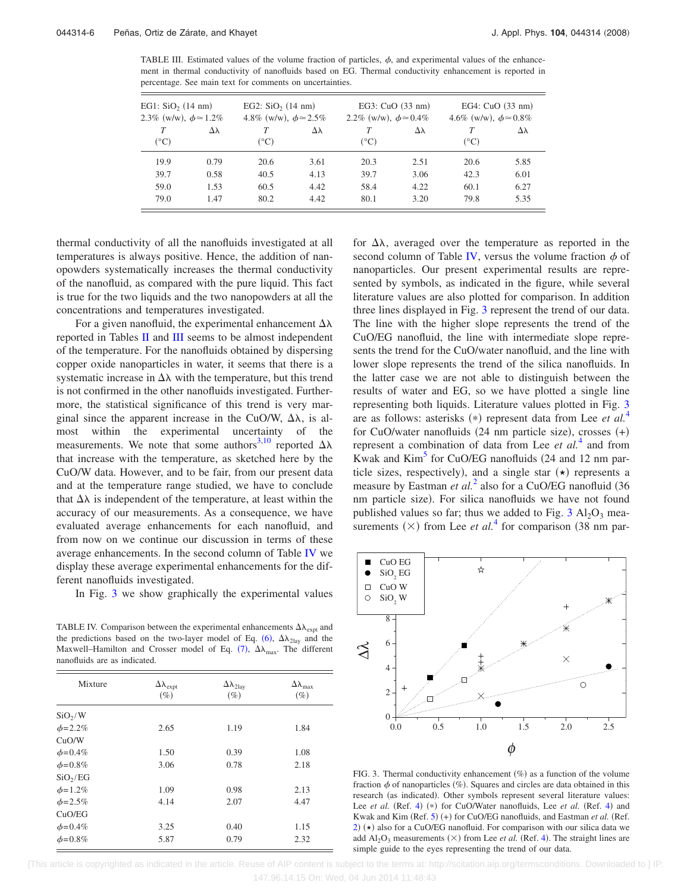<span id="page-6-0"></span>TABLE III. Estimated values of the volume fraction of particles,  $\phi$ , and experimental values of the enhancement in thermal conductivity of nanofluids based on EG. Thermal conductivity enhancement is reported in percentage. See main text for comments on uncertainties.

| EG1: $SiO2$ (14 nm)<br>2.3% (w/w), $\phi \approx 1.2\%$ |      | EG2: $SiO2$ (14 nm)<br>4.8% (w/w), $\phi \approx 2.5\%$ |      | EG3: CuO (33 nm)<br>2.2% (w/w), $\phi \approx 0.4\%$ |      | EG4: CuO $(33 \text{ nm})$<br>4.6% (w/w), $\phi \approx 0.8\%$ |      |
|---------------------------------------------------------|------|---------------------------------------------------------|------|------------------------------------------------------|------|----------------------------------------------------------------|------|
| T<br>$(^\circ C)$                                       | Δλ   | $(^\circ C)$                                            | Δλ   | T<br>$(^\circ C)$                                    | Δλ   | $(^\circ C)$                                                   | Δλ   |
| 19.9                                                    | 0.79 | 20.6                                                    | 3.61 | 20.3                                                 | 2.51 | 20.6                                                           | 5.85 |
| 39.7                                                    | 0.58 | 40.5                                                    | 4.13 | 39.7                                                 | 3.06 | 42.3                                                           | 6.01 |
| 59.0                                                    | 1.53 | 60.5                                                    | 4.42 | 58.4                                                 | 4.22 | 60.1                                                           | 6.27 |
| 79.0                                                    | 1.47 | 80.2                                                    | 4.42 | 80.1                                                 | 3.20 | 79.8                                                           | 5.35 |

thermal conductivity of all the nanofluids investigated at all temperatures is always positive. Hence, the addition of nanopowders systematically increases the thermal conductivity of the nanofluid, as compared with the pure liquid. This fact is true for the two liquids and the two nanopowders at all the concentrations and temperatures investigated.

For a given nanofluid, the experimental enhancement  $\Delta\lambda$ reported in Tables  $II$  and  $III$  seems to be almost independent of the temperature. For the nanofluids obtained by dispersing copper oxide nanoparticles in water, it seems that there is a systematic increase in  $\Delta\lambda$  with the temperature, but this trend is not confirmed in the other nanofluids investigated. Furthermore, the statistical significance of this trend is very marginal since the apparent increase in the CuO/W,  $\Delta\lambda$ , is almost within the experimental uncertainty of the measurements. We note that some authors<sup>3[,10](#page-8-2)</sup> reported  $\Delta\lambda$ that increase with the temperature, as sketched here by the CuO/W data. However, and to be fair, from our present data and at the temperature range studied, we have to conclude that  $\Delta\lambda$  is independent of the temperature, at least within the accuracy of our measurements. As a consequence, we have evaluated average enhancements for each nanofluid, and from now on we continue our discussion in terms of these average enhancements. In the second column of Table [IV](#page-6-1) we display these average experimental enhancements for the different nanofluids investigated.

In Fig. [3](#page-6-2) we show graphically the experimental values

<span id="page-6-1"></span>TABLE IV. Comparison between the experimental enhancements  $\Delta\lambda_{\text{expt}}$  and the predictions based on the two-layer model of Eq. ([6](#page-7-4)),  $\Delta\lambda_{2\text{lay}}$  and the Maxwell–Hamilton and Crosser model of Eq. ([7](#page-7-5)),  $\Delta\lambda_{\text{max}}$ . The different nanofluids are as indicated.

| Mixture              |                                  | $\Delta\lambda_{2\text{lav}}$ | $\Delta\lambda_{\rm max}$ |  |
|----------------------|----------------------------------|-------------------------------|---------------------------|--|
|                      | $\Delta\lambda_{expt}$<br>$(\%)$ | $(\%)$                        | $(\%)$                    |  |
| SiO <sub>2</sub> /W  |                                  |                               |                           |  |
| $\phi = 2.2\%$       | 2.65                             | 1.19                          | 1.84                      |  |
| CuO/W                |                                  |                               |                           |  |
| $\phi = 0.4\%$       | 1.50                             | 0.39                          | 1.08                      |  |
| $\phi = 0.8\%$       | 3.06                             | 0.78                          | 2.18                      |  |
| SiO <sub>2</sub> /EG |                                  |                               |                           |  |
| $\phi = 1.2\%$       | 1.09                             | 0.98                          | 2.13                      |  |
| $\phi = 2.5\%$       | 4.14                             | 2.07                          | 4.47                      |  |
| CuO/EG               |                                  |                               |                           |  |
| $\phi = 0.4\%$       | 3.25                             | 0.40                          | 1.15                      |  |
| $\phi = 0.8\%$       | 5.87                             | 0.79                          | 2.32                      |  |

for  $\Delta\lambda$ , averaged over the temperature as reported in the second column of Table [IV,](#page-6-1) versus the volume fraction  $\phi$  of nanoparticles. Our present experimental results are represented by symbols, as indicated in the figure, while several literature values are also plotted for comparison. In addition three lines displayed in Fig. [3](#page-6-2) represent the trend of our data. The line with the higher slope represents the trend of the CuO/EG nanofluid, the line with intermediate slope represents the trend for the CuO/water nanofluid, and the line with lower slope represents the trend of the silica nanofluids. In the latter case we are not able to distinguish between the results of water and EG, so we have plotted a single line representing both liquids. Literature values plotted in Fig. [3](#page-6-2) are as follows: asterisks (\*) represent data from Lee et al.<sup>[4](#page-7-3)</sup> for CuO/water nanofluids (24 nm particle size), crosses (+) represent a combination of data from Lee *et al.*[4](#page-7-3) and from Kwak and Kim<sup>5</sup> for CuO/EG nanofluids (24 and 12 nm particle sizes, respectively), and a single star  $(\star)$  represents a measure by Eastman *et al.*<sup>[2](#page-7-1)</sup> also for a CuO/EG nanofluid (36) nm particle size). For silica nanofluids we have not found published values so far; thus we added to Fig.  $3$  Al<sub>2</sub>O<sub>3</sub> measurements  $(\times)$  from Lee *et al.*<sup>[4](#page-7-3)</sup> for comparison (38 nm par-

<span id="page-6-2"></span>

FIG. 3. Thermal conductivity enhancement  $(\%)$  as a function of the volume fraction  $\phi$  of nanoparticles (%). Squares and circles are data obtained in this research (as indicated). Other symbols represent several literature values: Lee *et al.* (Ref. [4](#page-7-3)) (\*) for CuO/Water nanofluids, Lee *et al.* (Ref. 4) and Kwak and Kim (Ref. [5](#page-8-24)) (+) for CuO/EG nanofluids, and Eastman et al. (Ref.  $2)$  $2)$  ( $\star$ ) also for a CuO/EG nanofluid. For comparison with our silica data we add  $\text{Al}_2\text{O}_3$  measurements ( $\times$ ) from Lee *et al.* (Ref. [4](#page-7-3)). The straight lines are simple guide to the eyes representing the trend of our data.

[This article is copyrighted as indicated in the article. Reuse of AIP content is subject to the terms at: http://scitation.aip.org/termsconditions. Downloaded to ] IP:

147.96.14.15 On: Wed, 04 Jun 2014 11:48:43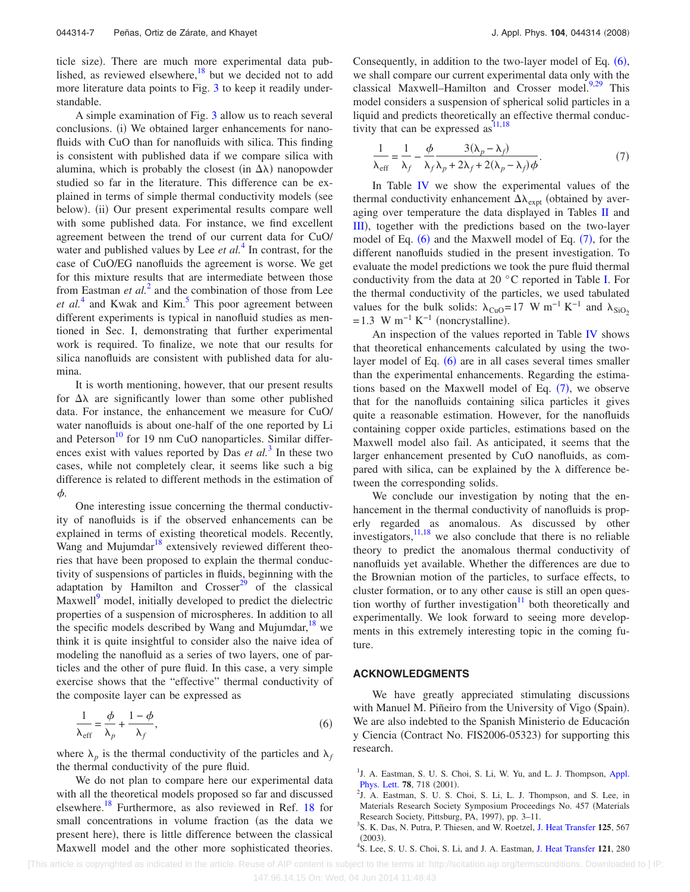ticle size). There are much more experimental data published, as reviewed elsewhere, $18$  but we decided not to add more literature data points to Fig. [3](#page-6-2) to keep it readily understandable.

A simple examination of Fig. [3](#page-6-2) allow us to reach several conclusions. (i) We obtained larger enhancements for nanofluids with CuO than for nanofluids with silica. This finding is consistent with published data if we compare silica with alumina, which is probably the closest (in  $\Delta\lambda$ ) nanopowder studied so far in the literature. This difference can be explained in terms of simple thermal conductivity models (see below). (ii) Our present experimental results compare well with some published data. For instance, we find excellent agreement between the trend of our current data for CuO/ water and published values by Lee *et al.*[4](#page-7-3) In contrast, for the case of CuO/EG nanofluids the agreement is worse. We get for this mixture results that are intermediate between those from Eastman *et al.*[2](#page-7-1) and the combination of those from Lee *et al.*<sup>[4](#page-7-3)</sup> and Kwak and Kim.<sup>5</sup> This poor agreement between different experiments is typical in nanofluid studies as mentioned in Sec. I, demonstrating that further experimental work is required. To finalize, we note that our results for silica nanofluids are consistent with published data for alumina.

It is worth mentioning, however, that our present results for  $\Delta\lambda$  are significantly lower than some other published data. For instance, the enhancement we measure for CuO/ water nanofluids is about one-half of the one reported by Li and Peterson<sup>10</sup> for 19 nm CuO nanoparticles. Similar differences exist with values reported by Das *et al.*<sup>[3](#page-7-2)</sup> In these two cases, while not completely clear, it seems like such a big difference is related to different methods in the estimation of  $\phi$ .

One interesting issue concerning the thermal conductivity of nanofluids is if the observed enhancements can be explained in terms of existing theoretical models. Recently, Wang and Mujumdar $^{18}$  extensively reviewed different theories that have been proposed to explain the thermal conductivity of suspensions of particles in fluids, beginning with the adaptation by Hamilton and  $C$ rosser $^{29}$  of the classical Maxwell<sup>9</sup> model, initially developed to predict the dielectric properties of a suspension of microspheres. In addition to all the specific models described by Wang and Mujumdar,  $18$  we think it is quite insightful to consider also the naive idea of modeling the nanofluid as a series of two layers, one of particles and the other of pure fluid. In this case, a very simple exercise shows that the "effective" thermal conductivity of the composite layer can be expressed as

<span id="page-7-4"></span>
$$
\frac{1}{\lambda_{\text{eff}}} = \frac{\phi}{\lambda_p} + \frac{1 - \phi}{\lambda_f},\tag{6}
$$

where  $\lambda_p$  is the thermal conductivity of the particles and  $\lambda_f$ the thermal conductivity of the pure fluid.

We do not plan to compare here our experimental data with all the theoretical models proposed so far and discussed elsewhere[.18](#page-8-10) Furthermore, as also reviewed in Ref. [18](#page-8-10) for small concentrations in volume fraction (as the data we present here), there is little difference between the classical Maxwell model and the other more sophisticated theories.

Consequently, in addition to the two-layer model of Eq.  $(6)$  $(6)$  $(6)$ , we shall compare our current experimental data only with the classical Maxwell–Hamilton and Crosser model. $9,29$  $9,29$  This model considers a suspension of spherical solid particles in a liquid and predicts theoretically an effective thermal conductivity that can be expressed as  $11,18$  $11,18$ 

<span id="page-7-5"></span>
$$
\frac{1}{\lambda_{\rm eff}} = \frac{1}{\lambda_f} - \frac{\phi}{\lambda_f} \frac{3(\lambda_p - \lambda_f)}{\lambda_p + 2\lambda_f + 2(\lambda_p - \lambda_f)\phi}.
$$
(7)

In Table [IV](#page-6-1) we show the experimental values of the thermal conductivity enhancement  $\Delta\lambda_{\rm expt}$  (obtained by averaging over temperature the data displayed in Tables [II](#page-5-1) and [III](#page-6-0)), together with the predictions based on the two-layer model of Eq.  $(6)$  $(6)$  $(6)$  and the Maxwell model of Eq.  $(7)$  $(7)$  $(7)$ , for the different nanofluids studied in the present investigation. To evaluate the model predictions we took the pure fluid thermal conductivity from the data at 20 °C reported in Table [I.](#page-4-1) For the thermal conductivity of the particles, we used tabulated values for the bulk solids:  $\lambda_{CuO}$ = 17 W m<sup>-1</sup> K<sup>-1</sup> and  $\lambda_{SiO<sub>2</sub>}$  $= 1.3$  W m<sup>-1</sup> K<sup>-1</sup> (noncrystalline).

An inspection of the values reported in Table [IV](#page-6-1) shows that theoretical enhancements calculated by using the two-layer model of Eq. ([6](#page-7-4)) are in all cases several times smaller than the experimental enhancements. Regarding the estimations based on the Maxwell model of Eq.  $(7)$  $(7)$  $(7)$ , we observe that for the nanofluids containing silica particles it gives quite a reasonable estimation. However, for the nanofluids containing copper oxide particles, estimations based on the Maxwell model also fail. As anticipated, it seems that the larger enhancement presented by CuO nanofluids, as compared with silica, can be explained by the  $\lambda$  difference between the corresponding solids.

We conclude our investigation by noting that the enhancement in the thermal conductivity of nanofluids is properly regarded as anomalous. As discussed by other investigators, $\frac{11,18}{10}$  $\frac{11,18}{10}$  $\frac{11,18}{10}$  we also conclude that there is no reliable theory to predict the anomalous thermal conductivity of nanofluids yet available. Whether the differences are due to the Brownian motion of the particles, to surface effects, to cluster formation, or to any other cause is still an open question worthy of further investigation $11$  both theoretically and experimentally. We look forward to seeing more developments in this extremely interesting topic in the coming future.

#### **ACKNOWLEDGMENTS**

We have greatly appreciated stimulating discussions with Manuel M. Piñeiro from the University of Vigo (Spain). We are also indebted to the Spanish Ministerio de Educación y Ciencia (Contract No. FIS2006-05323) for supporting this research.

<span id="page-7-3"></span>. <sup>4</sup> S. Lee, S. U. S. Choi, S. Li, and J. A. Eastman, [J. Heat Transfer](http://dx.doi.org/10.1115/1.2825978) **121**, 280

<span id="page-7-0"></span><sup>&</sup>lt;sup>1</sup>J. A. Eastman, S. U. S. Choi, S. Li, W. Yu, and L. J. Thompson, [Appl.](http://dx.doi.org/10.1063/1.1341218) **[Phys. Lett.](http://dx.doi.org/10.1063/1.1341218) 78**, 718 (2001).

<span id="page-7-1"></span><sup>&</sup>lt;sup>2</sup>J. A. Eastman, S. U. S. Choi, S. Li, L. J. Thompson, and S. Lee, in Materials Research Society Symposium Proceedings No. 457 (Materials Research Society, Pittsburg, PA, 1997), pp. 3–11.<br> $3S$ , K. Des. N. Putre, B. Thioson, and W. Bootzel, J.

<span id="page-7-2"></span>S. K. Das, N. Putra, P. Thiesen, and W. Roetzel, [J. Heat Transfer](http://dx.doi.org/10.1115/1.1571080) **125**, 567  $(2003).$